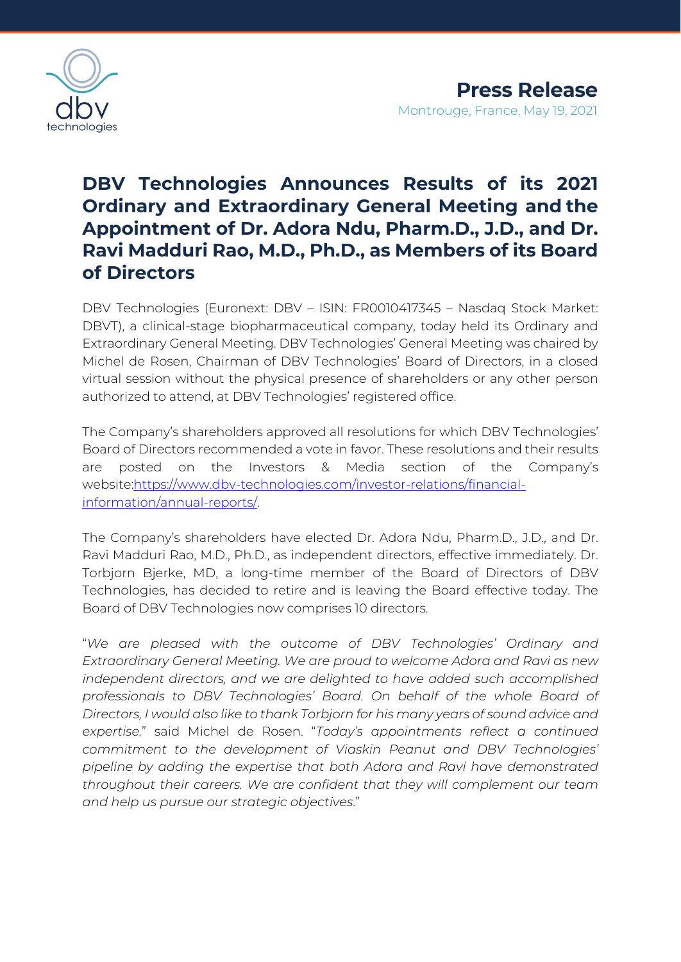

## **DBV Technologies Announces Results of its 2021 Ordinary and Extraordinary General Meeting and the Appointment of Dr. Adora Ndu, Pharm.D., J.D., and Dr. Ravi Madduri Rao, M.D., Ph.D., as Members of its Board of Directors**

DBV Technologies (Euronext: DBV – ISIN: FR0010417345 – Nasdaq Stock Market: DBVT), a clinical-stage biopharmaceutical company, today held its Ordinary and Extraordinary General Meeting. DBV Technologies' General Meeting was chaired by Michel de Rosen, Chairman of DBV Technologies' Board of Directors, in a closed virtual session without the physical presence of shareholders or any other person authorized to attend, at DBV Technologies' registered office.

The Company's shareholders approved all resolutions for which DBV Technologies' Board of Directors recommended a vote in favor. These resolutions and their results are posted on the Investors & Media section of the Company's websit[e:https://www.dbv-technologies.com/investor-relations/financial](https://www.dbv-technologies.com/investor-relations/financial-information/annual-reports/)[information/annual-reports/.](https://www.dbv-technologies.com/investor-relations/financial-information/annual-reports/)

The Company's shareholders have elected Dr. Adora Ndu, Pharm.D., J.D., and Dr. Ravi Madduri Rao, M.D., Ph.D., as independent directors, effective immediately. Dr. Torbjorn Bjerke, MD, a long-time member of the Board of Directors of DBV Technologies, has decided to retire and is leaving the Board effective today. The Board of DBV Technologies now comprises 10 directors.

"*We are pleased with the outcome of DBV Technologies' Ordinary and Extraordinary General Meeting. We are proud to welcome Adora and Ravi as new independent directors, and we are delighted to have added such accomplished professionals to DBV Technologies' Board. On behalf of the whole Board of Directors, I would also like to thank Torbjorn for his many years of sound advice and expertise.*" said Michel de Rosen. "*Today's appointments reflect a continued commitment to the development of Viaskin Peanut and DBV Technologies' pipeline by adding the expertise that both Adora and Ravi have demonstrated throughout their careers. We are confident that they will complement our team and help us pursue our strategic objectives*."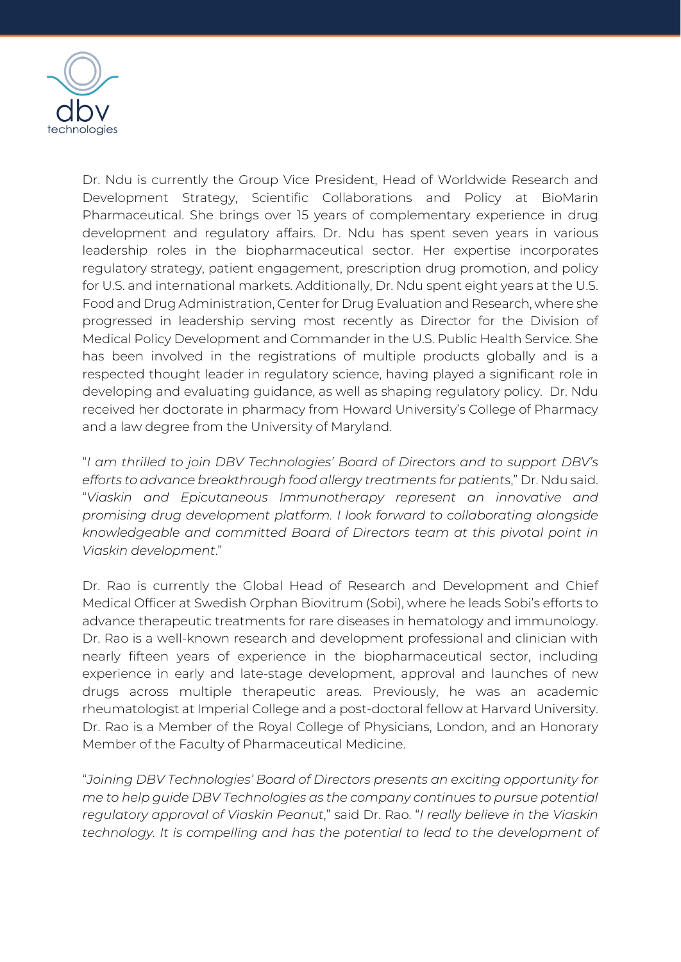

Dr. Ndu is currently the Group Vice President, Head of Worldwide Research and Development Strategy, Scientific Collaborations and Policy at BioMarin Pharmaceutical. She brings over 15 years of complementary experience in drug development and regulatory affairs. Dr. Ndu has spent seven years in various leadership roles in the biopharmaceutical sector. Her expertise incorporates regulatory strategy, patient engagement, prescription drug promotion, and policy for U.S. and international markets. Additionally, Dr. Ndu spent eight years at the U.S. Food and Drug Administration, Center for Drug Evaluation and Research, where she progressed in leadership serving most recently as Director for the Division of Medical Policy Development and Commander in the U.S. Public Health Service. She has been involved in the registrations of multiple products globally and is a respected thought leader in regulatory science, having played a significant role in developing and evaluating guidance, as well as shaping regulatory policy. Dr. Ndu received her doctorate in pharmacy from Howard University's College of Pharmacy and a law degree from the University of Maryland.

"*I am thrilled to join DBV Technologies' Board of Directors and to support DBV's efforts to advance breakthrough food allergy treatments for patients*," Dr. Ndu said. "*Viaskin and Epicutaneous Immunotherapy represent an innovative and promising drug development platform. I look forward to collaborating alongside knowledgeable and committed Board of Directors team at this pivotal point in Viaskin development*."

Dr. Rao is currently the Global Head of Research and Development and Chief Medical Officer at Swedish Orphan Biovitrum (Sobi), where he leads Sobi's efforts to advance therapeutic treatments for rare diseases in hematology and immunology. Dr. Rao is a well-known research and development professional and clinician with nearly fifteen years of experience in the biopharmaceutical sector, including experience in early and late-stage development, approval and launches of new drugs across multiple therapeutic areas. Previously, he was an academic rheumatologist at Imperial College and a post-doctoral fellow at Harvard University. Dr. Rao is a Member of the Royal College of Physicians, London, and an Honorary Member of the Faculty of Pharmaceutical Medicine.

"*Joining DBV Technologies' Board of Directors presents an exciting opportunity for me to help guide DBV Technologies as the company continues to pursue potential regulatory approval of Viaskin Peanut*," said Dr. Rao. "*I really believe in the Viaskin technology. It is compelling and has the potential to lead to the development of*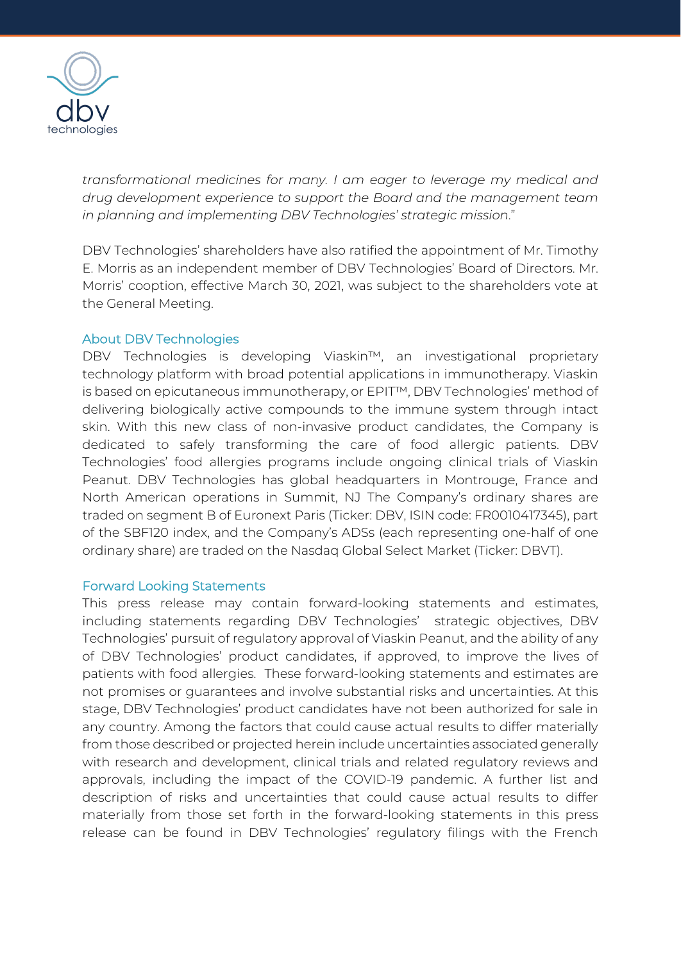

*transformational medicines for many. I am eager to leverage my medical and drug development experience to support the Board and the management team in planning and implementing DBV Technologies' strategic mission*."

DBV Technologies' shareholders have also ratified the appointment of Mr. Timothy E. Morris as an independent member of DBV Technologies' Board of Directors. Mr. Morris' cooption, effective March 30, 2021, was subject to the shareholders vote at the General Meeting.

## About DBV Technologies

DBV Technologies is developing Viaskin™, an investigational proprietary technology platform with broad potential applications in immunotherapy. Viaskin is based on epicutaneous immunotherapy, or EPIT™, DBV Technologies' method of delivering biologically active compounds to the immune system through intact skin. With this new class of non-invasive product candidates, the Company is dedicated to safely transforming the care of food allergic patients. DBV Technologies' food allergies programs include ongoing clinical trials of Viaskin Peanut. DBV Technologies has global headquarters in Montrouge, France and North American operations in Summit, NJ The Company's ordinary shares are traded on segment B of Euronext Paris (Ticker: DBV, ISIN code: FR0010417345), part of the SBF120 index, and the Company's ADSs (each representing one-half of one ordinary share) are traded on the Nasdaq Global Select Market (Ticker: DBVT).

## Forward Looking Statements

This press release may contain forward-looking statements and estimates, including statements regarding DBV Technologies' strategic objectives, DBV Technologies' pursuit of regulatory approval of Viaskin Peanut, and the ability of any of DBV Technologies' product candidates, if approved, to improve the lives of patients with food allergies. These forward-looking statements and estimates are not promises or guarantees and involve substantial risks and uncertainties. At this stage, DBV Technologies' product candidates have not been authorized for sale in any country. Among the factors that could cause actual results to differ materially from those described or projected herein include uncertainties associated generally with research and development, clinical trials and related regulatory reviews and approvals, including the impact of the COVID-19 pandemic. A further list and description of risks and uncertainties that could cause actual results to differ materially from those set forth in the forward-looking statements in this press release can be found in DBV Technologies' regulatory filings with the French